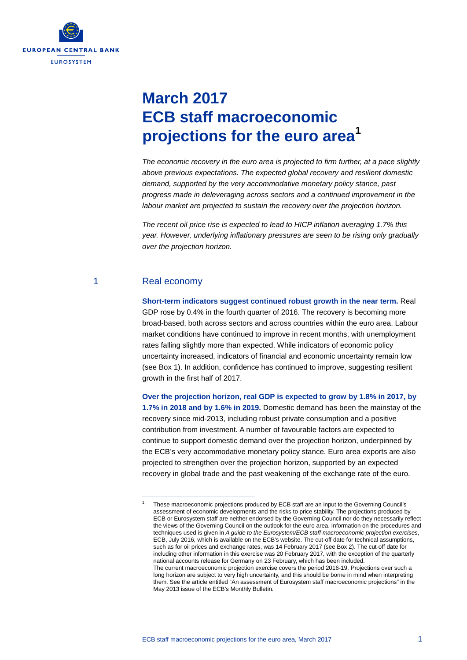

# **March 2017 ECB staff macroeconomic projections for the euro area[1](#page-0-0)**

*The economic recovery in the euro area is projected to firm further, at a pace slightly above previous expectations. The expected global recovery and resilient domestic demand, supported by the very accommodative monetary policy stance, past progress made in deleveraging across sectors and a continued improvement in the labour market are projected to sustain the recovery over the projection horizon.*

*The recent oil price rise is expected to lead to HICP inflation averaging 1.7% this year. However, underlying inflationary pressures are seen to be rising only gradually over the projection horizon.*

# 1 Real economy

<span id="page-0-0"></span>-

**Short-term indicators suggest continued robust growth in the near term.** Real GDP rose by 0.4% in the fourth quarter of 2016. The recovery is becoming more broad-based, both across sectors and across countries within the euro area. Labour market conditions have continued to improve in recent months, with unemployment rates falling slightly more than expected. While indicators of economic policy uncertainty increased, indicators of financial and economic uncertainty remain low (see Box 1). In addition, confidence has continued to improve, suggesting resilient growth in the first half of 2017.

**Over the projection horizon, real GDP is expected to grow by 1.8% in 2017, by 1.7% in 2018 and by 1.6% in 2019.** Domestic demand has been the mainstay of the recovery since mid-2013, including robust private consumption and a positive contribution from investment. A number of favourable factors are expected to continue to support domestic demand over the projection horizon, underpinned by the ECB's very accommodative monetary policy stance. Euro area exports are also projected to strengthen over the projection horizon, supported by an expected recovery in global trade and the past weakening of the exchange rate of the euro.

<sup>1</sup> These macroeconomic projections produced by ECB staff are an input to the Governing Council's assessment of economic developments and the risks to price stability. The projections produced by ECB or Eurosystem staff are neither endorsed by the Governing Council nor do they necessarily reflect the views of the Governing Council on the outlook for the euro area. Information on the procedures and techniques used is given in *A guide to the Eurosystem/ECB staff macroeconomic projection exercises*, ECB, July 2016, which is available on the ECB's website. The cut-off date for technical assumptions, such as for oil prices and exchange rates, was 14 February 2017 (see Box 2). The cut-off date for including other information in this exercise was 20 February 2017, with the exception of the quarterly national accounts release for Germany on 23 February, which has been included. The current macroeconomic projection exercise covers the period 2016-19. Projections over such a long horizon are subject to very high uncertainty, and this should be borne in mind when interpreting them. See the article entitled "An assessment of Eurosystem staff macroeconomic projections" in the May 2013 issue of the ECB's Monthly Bulletin.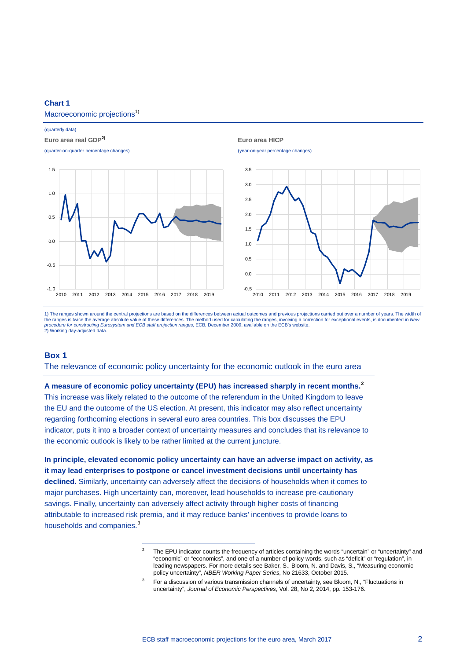### **Chart 1**

### Macroeconomic projections<sup>1)</sup>

#### (quarterly data)

### **Euro area real GDP2) Euro area HICP**



1) The ranges shown around the central projections are based on the differences between actual outcomes and previous projections carried out over a number of years. The width of the ranges is twice the average absolute value of these differences. The method used for calculating the ranges, involving a correction for exceptional events, is documented in *New procedure for constructing Eurosystem and ECB staff projection ranges*, ECB, December 2009, available on the ECB's website. 2) Working day-adjusted data.

### **Box 1**

The relevance of economic policy uncertainty for the economic outlook in the euro area

**A measure of economic policy uncertainty (EPU) has increased sharply in recent months.[2](#page-1-0)** This increase was likely related to the outcome of the referendum in the United Kingdom to leave the EU and the outcome of the US election. At present, this indicator may also reflect uncertainty regarding forthcoming elections in several euro area countries. This box discusses the EPU indicator, puts it into a broader context of uncertainty measures and concludes that its relevance to the economic outlook is likely to be rather limited at the current juncture.

<span id="page-1-1"></span><span id="page-1-0"></span>**In principle, elevated economic policy uncertainty can have an adverse impact on activity, as it may lead enterprises to postpone or cancel investment decisions until uncertainty has declined.** Similarly, uncertainty can adversely affect the decisions of households when it comes to major purchases. High uncertainty can, moreover, lead households to increase pre-cautionary savings. Finally, uncertainty can adversely affect activity through higher costs of financing attributable to increased risk premia, and it may reduce banks' incentives to provide loans to households and companies.<sup>[3](#page-1-1)</sup>

The EPU indicator counts the frequency of articles containing the words "uncertain" or "uncertainty" and "economic" or "economics", and one of a number of policy words, such as "deficit" or "regulation", in leading newspapers. For more details see Baker, S., Bloom, N. and Davis, S., "Measuring economic policy uncertainty", *NBER Working Paper Series*, No 21633, October 2015.

For a discussion of various transmission channels of uncertainty, see Bloom, N., "Fluctuations in uncertainty", *Journal of Economic Perspectives*, Vol. 28, No 2, 2014, pp. 153-176.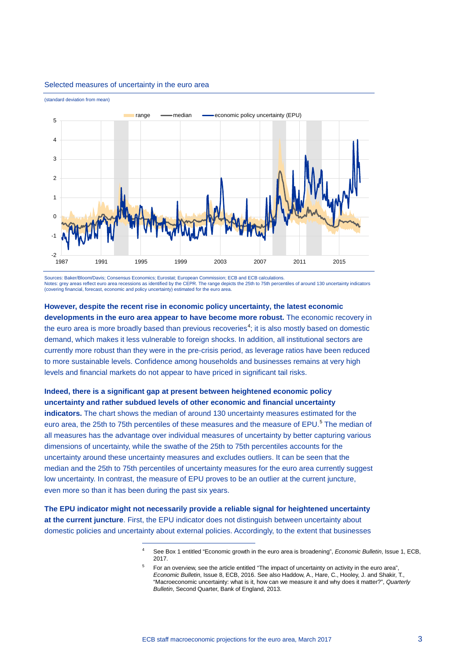

#### Selected measures of uncertainty in the euro area

Sources: Baker/Bloom/Davis; Consensus Economics; Eurostat; European Commission; ECB and ECB calculations. Notes: grey areas reflect euro area recessions as identified by the CEPR. The range depicts the 25th to 75th percentiles of around 130 uncertainty indicators (covering financial, forecast, economic and policy uncertainty) estimated for the euro area.

# **However, despite the recent rise in economic policy uncertainty, the latest economic developments in the euro area appear to have become more robust.** The economic recovery in the euro area is more broadly based than previous recoveries<sup>[4](#page-2-0)</sup>; it is also mostly based on domestic demand, which makes it less vulnerable to foreign shocks. In addition, all institutional sectors are currently more robust than they were in the pre-crisis period, as leverage ratios have been reduced to more sustainable levels. Confidence among households and businesses remains at very high levels and financial markets do not appear to have priced in significant tail risks.

# **Indeed, there is a significant gap at present between heightened economic policy uncertainty and rather subdued levels of other economic and financial uncertainty**

**indicators.** The chart shows the median of around 130 uncertainty measures estimated for the euro area, the 2[5](#page-2-1)th to 75th percentiles of these measures and the measure of EPU.<sup>5</sup> The median of all measures has the advantage over individual measures of uncertainty by better capturing various dimensions of uncertainty, while the swathe of the 25th to 75th percentiles accounts for the uncertainty around these uncertainty measures and excludes outliers. It can be seen that the median and the 25th to 75th percentiles of uncertainty measures for the euro area currently suggest low uncertainty. In contrast, the measure of EPU proves to be an outlier at the current juncture, even more so than it has been during the past six years.

<span id="page-2-1"></span><span id="page-2-0"></span>**The EPU indicator might not necessarily provide a reliable signal for heightened uncertainty at the current juncture**. First, the EPU indicator does not distinguish between uncertainty about domestic policies and uncertainty about external policies. Accordingly, to the extent that businesses

<sup>4</sup> See Box 1 entitled "Economic growth in the euro area is broadening", *Economic Bulletin*, Issue 1, ECB, 2017.

<sup>5</sup> For an overview, see the article entitled "The impact of uncertainty on activity in the euro area", *Economic Bulletin*, Issue 8, ECB, 2016. See also Haddow, A., Hare, C., Hooley, J. and Shakir, T., "Macroeconomic uncertainty: what is it, how can we measure it and why does it matter?", *Quarterly Bulletin*, Second Quarter, Bank of England, 2013.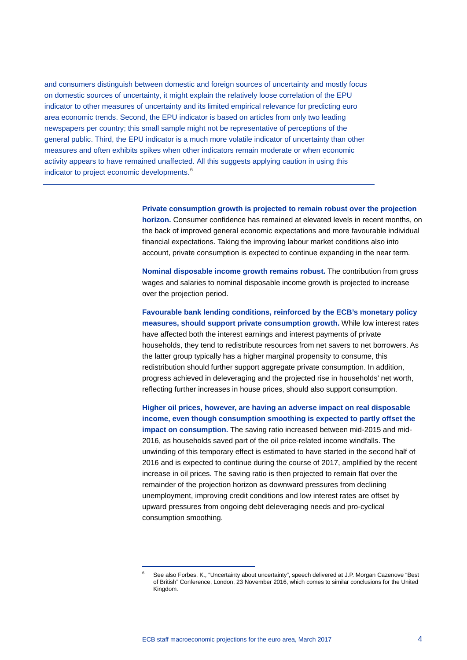and consumers distinguish between domestic and foreign sources of uncertainty and mostly focus on domestic sources of uncertainty, it might explain the relatively loose correlation of the EPU indicator to other measures of uncertainty and its limited empirical relevance for predicting euro area economic trends. Second, the EPU indicator is based on articles from only two leading newspapers per country; this small sample might not be representative of perceptions of the general public. Third, the EPU indicator is a much more volatile indicator of uncertainty than other measures and often exhibits spikes when other indicators remain moderate or when economic activity appears to have remained unaffected. All this suggests applying caution in using this indicator to project economic developments.<sup>[6](#page-3-0)</sup>

> **Private consumption growth is projected to remain robust over the projection horizon.** Consumer confidence has remained at elevated levels in recent months, on the back of improved general economic expectations and more favourable individual financial expectations. Taking the improving labour market conditions also into account, private consumption is expected to continue expanding in the near term.

**Nominal disposable income growth remains robust.** The contribution from gross wages and salaries to nominal disposable income growth is projected to increase over the projection period.

**Favourable bank lending conditions, reinforced by the ECB's monetary policy measures, should support private consumption growth.** While low interest rates have affected both the interest earnings and interest payments of private households, they tend to redistribute resources from net savers to net borrowers. As the latter group typically has a higher marginal propensity to consume, this redistribution should further support aggregate private consumption. In addition, progress achieved in deleveraging and the projected rise in households' net worth, reflecting further increases in house prices, should also support consumption.

**Higher oil prices, however, are having an adverse impact on real disposable income, even though consumption smoothing is expected to partly offset the impact on consumption.** The saving ratio increased between mid-2015 and mid-2016, as households saved part of the oil price-related income windfalls. The unwinding of this temporary effect is estimated to have started in the second half of 2016 and is expected to continue during the course of 2017, amplified by the recent increase in oil prices. The saving ratio is then projected to remain flat over the remainder of the projection horizon as downward pressures from declining unemployment, improving credit conditions and low interest rates are offset by upward pressures from ongoing debt deleveraging needs and pro-cyclical consumption smoothing.

<span id="page-3-0"></span><sup>6</sup> See also Forbes, K., "Uncertainty about uncertainty", speech delivered at J.P. Morgan Cazenove "Best of British" Conference, London, 23 November 2016, which comes to similar conclusions for the United Kingdom.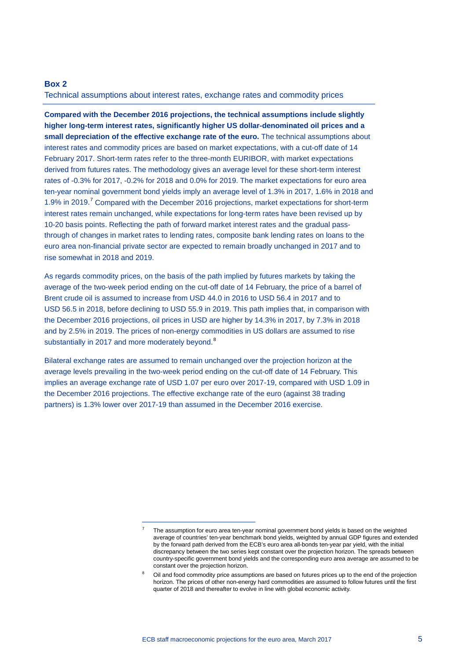## **Box 2**

Technical assumptions about interest rates, exchange rates and commodity prices

**Compared with the December 2016 projections, the technical assumptions include slightly higher long-term interest rates, significantly higher US dollar-denominated oil prices and a small depreciation of the effective exchange rate of the euro.** The technical assumptions about interest rates and commodity prices are based on market expectations, with a cut-off date of 14 February 2017. Short-term rates refer to the three-month EURIBOR, with market expectations derived from futures rates. The methodology gives an average level for these short-term interest rates of -0.3% for 2017, -0.2% for 2018 and 0.0% for 2019. The market expectations for euro area ten-year nominal government bond yields imply an average level of 1.3% in 2017, 1.6% in 2018 and 1.9% in 2019.[7](#page-4-0) Compared with the December 2016 projections, market expectations for short-term interest rates remain unchanged, while expectations for long-term rates have been revised up by 10-20 basis points. Reflecting the path of forward market interest rates and the gradual passthrough of changes in market rates to lending rates, composite bank lending rates on loans to the euro area non-financial private sector are expected to remain broadly unchanged in 2017 and to rise somewhat in 2018 and 2019.

As regards commodity prices, on the basis of the path implied by futures markets by taking the average of the two-week period ending on the cut-off date of 14 February, the price of a barrel of Brent crude oil is assumed to increase from USD 44.0 in 2016 to USD 56.4 in 2017 and to USD 56.5 in 2018, before declining to USD 55.9 in 2019. This path implies that, in comparison with the December 2016 projections, oil prices in USD are higher by 14.3% in 2017, by 7.3% in 2018 and by 2.5% in 2019. The prices of non-energy commodities in US dollars are assumed to rise substantially in 2017 and more moderately beyond.<sup>[8](#page-4-1)</sup>

Bilateral exchange rates are assumed to remain unchanged over the projection horizon at the average levels prevailing in the two-week period ending on the cut-off date of 14 February. This implies an average exchange rate of USD 1.07 per euro over 2017-19, compared with USD 1.09 in the December 2016 projections. The effective exchange rate of the euro (against 38 trading partners) is 1.3% lower over 2017-19 than assumed in the December 2016 exercise.

<span id="page-4-0"></span><sup>7</sup> The assumption for euro area ten-year nominal government bond yields is based on the weighted average of countries' ten-year benchmark bond yields, weighted by annual GDP figures and extended by the forward path derived from the ECB's euro area all-bonds ten-year par yield, with the initial discrepancy between the two series kept constant over the projection horizon. The spreads between country-specific government bond yields and the corresponding euro area average are assumed to be constant over the projection horizon.

<span id="page-4-1"></span>Oil and food commodity price assumptions are based on futures prices up to the end of the projection horizon. The prices of other non-energy hard commodities are assumed to follow futures until the first quarter of 2018 and thereafter to evolve in line with global economic activity.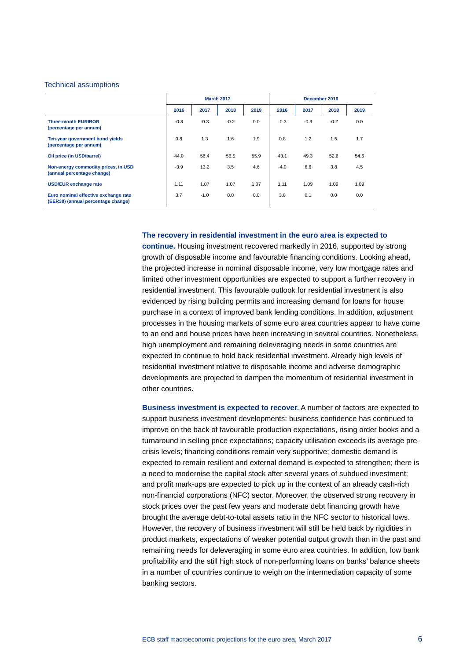### Technical assumptions

|                                                                            | <b>March 2017</b> |        |        |      | December 2016 |        |        |      |
|----------------------------------------------------------------------------|-------------------|--------|--------|------|---------------|--------|--------|------|
|                                                                            | 2016              | 2017   | 2018   | 2019 | 2016          | 2017   | 2018   | 2019 |
| <b>Three-month EURIBOR</b><br>(percentage per annum)                       | $-0.3$            | $-0.3$ | $-0.2$ | 0.0  | $-0.3$        | $-0.3$ | $-0.2$ | 0.0  |
| Ten-year government bond yields<br>(percentage per annum)                  | 0.8               | 1.3    | 1.6    | 1.9  | 0.8           | 1.2    | 1.5    | 1.7  |
| Oil price (in USD/barrel)                                                  | 44.0              | 56.4   | 56.5   | 55.9 | 43.1          | 49.3   | 52.6   | 54.6 |
| Non-energy commodity prices, in USD<br>(annual percentage change)          | $-3.9$            | 13.2   | 3.5    | 4.6  | $-4.0$        | 6.6    | 3.8    | 4.5  |
| <b>USD/EUR</b> exchange rate                                               | 1.11              | 1.07   | 1.07   | 1.07 | 1.11          | 1.09   | 1.09   | 1.09 |
| Euro nominal effective exchange rate<br>(EER38) (annual percentage change) | 3.7               | $-1.0$ | 0.0    | 0.0  | 3.8           | 0.1    | 0.0    | 0.0  |

**The recovery in residential investment in the euro area is expected to** 

**continue.** Housing investment recovered markedly in 2016, supported by strong growth of disposable income and favourable financing conditions. Looking ahead, the projected increase in nominal disposable income, very low mortgage rates and limited other investment opportunities are expected to support a further recovery in residential investment. This favourable outlook for residential investment is also evidenced by rising building permits and increasing demand for loans for house purchase in a context of improved bank lending conditions. In addition, adjustment processes in the housing markets of some euro area countries appear to have come to an end and house prices have been increasing in several countries. Nonetheless, high unemployment and remaining deleveraging needs in some countries are expected to continue to hold back residential investment. Already high levels of residential investment relative to disposable income and adverse demographic developments are projected to dampen the momentum of residential investment in other countries.

**Business investment is expected to recover.** A number of factors are expected to support business investment developments: business confidence has continued to improve on the back of favourable production expectations, rising order books and a turnaround in selling price expectations; capacity utilisation exceeds its average precrisis levels; financing conditions remain very supportive; domestic demand is expected to remain resilient and external demand is expected to strengthen; there is a need to modernise the capital stock after several years of subdued investment; and profit mark-ups are expected to pick up in the context of an already cash-rich non-financial corporations (NFC) sector. Moreover, the observed strong recovery in stock prices over the past few years and moderate debt financing growth have brought the average debt-to-total assets ratio in the NFC sector to historical lows. However, the recovery of business investment will still be held back by rigidities in product markets, expectations of weaker potential output growth than in the past and remaining needs for deleveraging in some euro area countries. In addition, low bank profitability and the still high stock of non-performing loans on banks' balance sheets in a number of countries continue to weigh on the intermediation capacity of some banking sectors.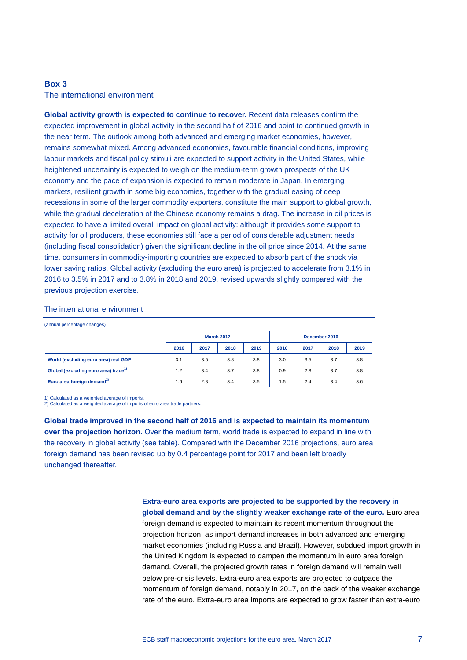# **Box 3**

### The international environment

**Global activity growth is expected to continue to recover.** Recent data releases confirm the expected improvement in global activity in the second half of 2016 and point to continued growth in the near term. The outlook among both advanced and emerging market economies, however, remains somewhat mixed. Among advanced economies, favourable financial conditions, improving labour markets and fiscal policy stimuli are expected to support activity in the United States, while heightened uncertainty is expected to weigh on the medium-term growth prospects of the UK economy and the pace of expansion is expected to remain moderate in Japan. In emerging markets, resilient growth in some big economies, together with the gradual easing of deep recessions in some of the larger commodity exporters, constitute the main support to global growth, while the gradual deceleration of the Chinese economy remains a drag. The increase in oil prices is expected to have a limited overall impact on global activity: although it provides some support to activity for oil producers, these economies still face a period of considerable adjustment needs (including fiscal consolidation) given the significant decline in the oil price since 2014. At the same time, consumers in commodity-importing countries are expected to absorb part of the shock via lower saving ratios. Global activity (excluding the euro area) is projected to accelerate from 3.1% in 2016 to 3.5% in 2017 and to 3.8% in 2018 and 2019, revised upwards slightly compared with the previous projection exercise.

#### The international environment

| (annual percentage changes)                      |                   |      |      |      |               |      |      |      |
|--------------------------------------------------|-------------------|------|------|------|---------------|------|------|------|
|                                                  | <b>March 2017</b> |      |      |      | December 2016 |      |      |      |
|                                                  | 2016              | 2017 | 2018 | 2019 | 2016          | 2017 | 2018 | 2019 |
| World (excluding euro area) real GDP             | 3.1               | 3.5  | 3.8  | 3.8  | 3.0           | 3.5  | 3.7  | 3.8  |
| Global (excluding euro area) trade <sup>1)</sup> | 1.2               | 3.4  | 3.7  | 3.8  | 0.9           | 2.8  | 3.7  | 3.8  |
| Euro area foreign demand <sup>2)</sup>           | 1.6               | 2.8  | 3.4  | 3.5  | 1.5           | 2.4  | 3.4  | 3.6  |

1) Calculated as a weighted average of imports.

2) Calculated as a weighted average of imports of euro area trade partners.

**Global trade improved in the second half of 2016 and is expected to maintain its momentum over the projection horizon.** Over the medium term, world trade is expected to expand in line with the recovery in global activity (see table). Compared with the December 2016 projections, euro area foreign demand has been revised up by 0.4 percentage point for 2017 and been left broadly unchanged thereafter.

> **Extra-euro area exports are projected to be supported by the recovery in global demand and by the slightly weaker exchange rate of the euro.** Euro area

> foreign demand is expected to maintain its recent momentum throughout the projection horizon, as import demand increases in both advanced and emerging market economies (including Russia and Brazil). However, subdued import growth in the United Kingdom is expected to dampen the momentum in euro area foreign demand. Overall, the projected growth rates in foreign demand will remain well below pre-crisis levels. Extra-euro area exports are projected to outpace the momentum of foreign demand, notably in 2017, on the back of the weaker exchange rate of the euro. Extra-euro area imports are expected to grow faster than extra-euro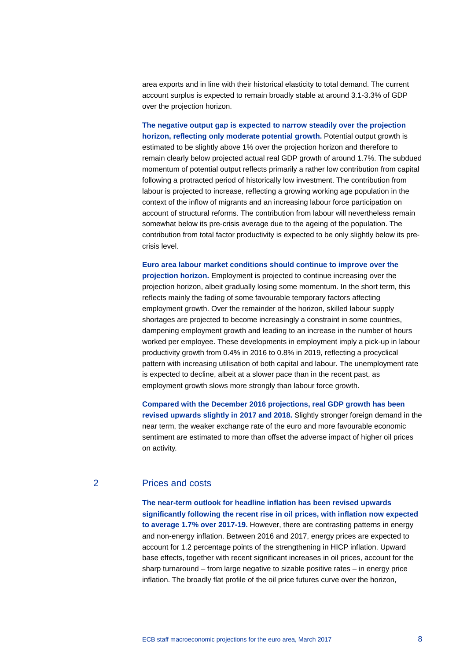area exports and in line with their historical elasticity to total demand. The current account surplus is expected to remain broadly stable at around 3.1-3.3% of GDP over the projection horizon.

**The negative output gap is expected to narrow steadily over the projection horizon, reflecting only moderate potential growth.** Potential output growth is estimated to be slightly above 1% over the projection horizon and therefore to remain clearly below projected actual real GDP growth of around 1.7%. The subdued momentum of potential output reflects primarily a rather low contribution from capital following a protracted period of historically low investment. The contribution from labour is projected to increase, reflecting a growing working age population in the context of the inflow of migrants and an increasing labour force participation on account of structural reforms. The contribution from labour will nevertheless remain somewhat below its pre-crisis average due to the ageing of the population. The contribution from total factor productivity is expected to be only slightly below its precrisis level.

**Euro area labour market conditions should continue to improve over the projection horizon.** Employment is projected to continue increasing over the projection horizon, albeit gradually losing some momentum. In the short term, this reflects mainly the fading of some favourable temporary factors affecting employment growth. Over the remainder of the horizon, skilled labour supply shortages are projected to become increasingly a constraint in some countries, dampening employment growth and leading to an increase in the number of hours worked per employee. These developments in employment imply a pick-up in labour productivity growth from 0.4% in 2016 to 0.8% in 2019, reflecting a procyclical pattern with increasing utilisation of both capital and labour. The unemployment rate is expected to decline, albeit at a slower pace than in the recent past, as employment growth slows more strongly than labour force growth.

**Compared with the December 2016 projections, real GDP growth has been revised upwards slightly in 2017 and 2018.** Slightly stronger foreign demand in the near term, the weaker exchange rate of the euro and more favourable economic sentiment are estimated to more than offset the adverse impact of higher oil prices on activity.

# 2 Prices and costs

**The near-term outlook for headline inflation has been revised upwards significantly following the recent rise in oil prices, with inflation now expected to average 1.7% over 2017-19.** However, there are contrasting patterns in energy and non-energy inflation. Between 2016 and 2017, energy prices are expected to account for 1.2 percentage points of the strengthening in HICP inflation. Upward base effects, together with recent significant increases in oil prices, account for the sharp turnaround – from large negative to sizable positive rates – in energy price inflation. The broadly flat profile of the oil price futures curve over the horizon,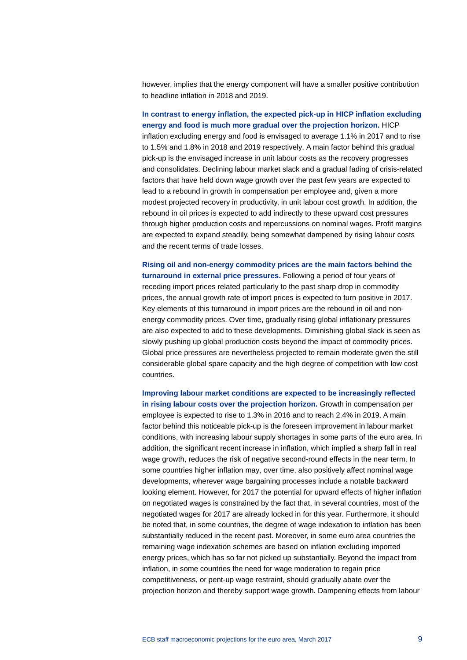however, implies that the energy component will have a smaller positive contribution to headline inflation in 2018 and 2019.

**In contrast to energy inflation, the expected pick-up in HICP inflation excluding energy and food is much more gradual over the projection horizon.** HICP inflation excluding energy and food is envisaged to average 1.1% in 2017 and to rise to 1.5% and 1.8% in 2018 and 2019 respectively. A main factor behind this gradual pick-up is the envisaged increase in unit labour costs as the recovery progresses and consolidates. Declining labour market slack and a gradual fading of crisis-related factors that have held down wage growth over the past few years are expected to lead to a rebound in growth in compensation per employee and, given a more modest projected recovery in productivity, in unit labour cost growth. In addition, the rebound in oil prices is expected to add indirectly to these upward cost pressures through higher production costs and repercussions on nominal wages. Profit margins are expected to expand steadily, being somewhat dampened by rising labour costs and the recent terms of trade losses.

**Rising oil and non-energy commodity prices are the main factors behind the turnaround in external price pressures.** Following a period of four years of receding import prices related particularly to the past sharp drop in commodity prices, the annual growth rate of import prices is expected to turn positive in 2017. Key elements of this turnaround in import prices are the rebound in oil and nonenergy commodity prices. Over time, gradually rising global inflationary pressures are also expected to add to these developments. Diminishing global slack is seen as slowly pushing up global production costs beyond the impact of commodity prices. Global price pressures are nevertheless projected to remain moderate given the still considerable global spare capacity and the high degree of competition with low cost countries.

**Improving labour market conditions are expected to be increasingly reflected in rising labour costs over the projection horizon.** Growth in compensation per employee is expected to rise to 1.3% in 2016 and to reach 2.4% in 2019. A main factor behind this noticeable pick-up is the foreseen improvement in labour market conditions, with increasing labour supply shortages in some parts of the euro area. In addition, the significant recent increase in inflation, which implied a sharp fall in real wage growth, reduces the risk of negative second-round effects in the near term. In some countries higher inflation may, over time, also positively affect nominal wage developments, wherever wage bargaining processes include a notable backward looking element. However, for 2017 the potential for upward effects of higher inflation on negotiated wages is constrained by the fact that, in several countries, most of the negotiated wages for 2017 are already locked in for this year. Furthermore, it should be noted that, in some countries, the degree of wage indexation to inflation has been substantially reduced in the recent past. Moreover, in some euro area countries the remaining wage indexation schemes are based on inflation excluding imported energy prices, which has so far not picked up substantially. Beyond the impact from inflation, in some countries the need for wage moderation to regain price competitiveness, or pent-up wage restraint, should gradually abate over the projection horizon and thereby support wage growth. Dampening effects from labour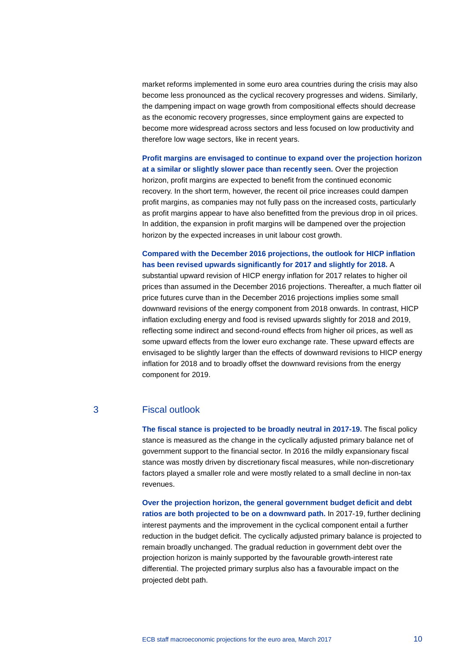market reforms implemented in some euro area countries during the crisis may also become less pronounced as the cyclical recovery progresses and widens. Similarly, the dampening impact on wage growth from compositional effects should decrease as the economic recovery progresses, since employment gains are expected to become more widespread across sectors and less focused on low productivity and therefore low wage sectors, like in recent years.

**Profit margins are envisaged to continue to expand over the projection horizon at a similar or slightly slower pace than recently seen.** Over the projection horizon, profit margins are expected to benefit from the continued economic recovery. In the short term, however, the recent oil price increases could dampen profit margins, as companies may not fully pass on the increased costs, particularly as profit margins appear to have also benefitted from the previous drop in oil prices. In addition, the expansion in profit margins will be dampened over the projection horizon by the expected increases in unit labour cost growth.

# **Compared with the December 2016 projections, the outlook for HICP inflation has been revised upwards significantly for 2017 and slightly for 2018.** A

substantial upward revision of HICP energy inflation for 2017 relates to higher oil prices than assumed in the December 2016 projections. Thereafter, a much flatter oil price futures curve than in the December 2016 projections implies some small downward revisions of the energy component from 2018 onwards. In contrast, HICP inflation excluding energy and food is revised upwards slightly for 2018 and 2019, reflecting some indirect and second-round effects from higher oil prices, as well as some upward effects from the lower euro exchange rate. These upward effects are envisaged to be slightly larger than the effects of downward revisions to HICP energy inflation for 2018 and to broadly offset the downward revisions from the energy component for 2019.

# 3 Fiscal outlook

**The fiscal stance is projected to be broadly neutral in 2017-19.** The fiscal policy stance is measured as the change in the cyclically adjusted primary balance net of government support to the financial sector. In 2016 the mildly expansionary fiscal stance was mostly driven by discretionary fiscal measures, while non-discretionary factors played a smaller role and were mostly related to a small decline in non-tax revenues.

**Over the projection horizon, the general government budget deficit and debt ratios are both projected to be on a downward path.** In 2017-19, further declining interest payments and the improvement in the cyclical component entail a further reduction in the budget deficit. The cyclically adjusted primary balance is projected to remain broadly unchanged. The gradual reduction in government debt over the projection horizon is mainly supported by the favourable growth-interest rate differential. The projected primary surplus also has a favourable impact on the projected debt path.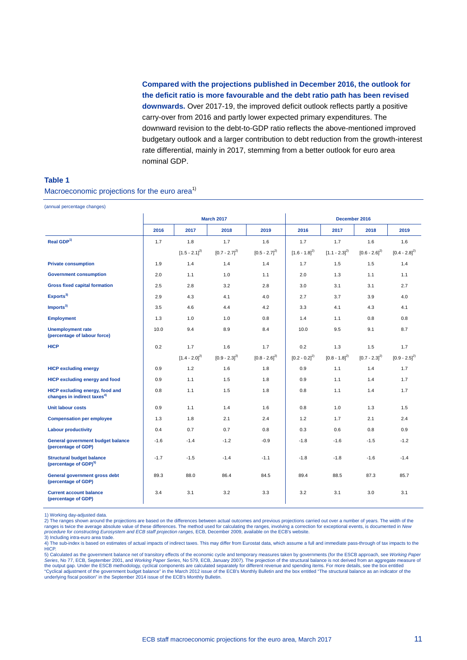**Compared with the projections published in December 2016, the outlook for the deficit ratio is more favourable and the debt ratio path has been revised downwards.** Over 2017-19, the improved deficit outlook reflects partly a positive carry-over from 2016 and partly lower expected primary expenditures. The downward revision to the debt-to-GDP ratio reflects the above-mentioned improved budgetary outlook and a larger contribution to debt reduction from the growth-interest rate differential, mainly in 2017, stemming from a better outlook for euro area nominal GDP.

#### **Table 1**

Macroeconomic projections for the euro area<sup>1)</sup>

| (annual percentage changes)                                                       |                   |                   |                   |                   |                   |                   |                   |                   |  |
|-----------------------------------------------------------------------------------|-------------------|-------------------|-------------------|-------------------|-------------------|-------------------|-------------------|-------------------|--|
|                                                                                   | <b>March 2017</b> |                   |                   |                   | December 2016     |                   |                   |                   |  |
|                                                                                   | 2016              | 2017              | 2018              | 2019              | 2016              | 2017              | 2018              | 2019              |  |
| Real $GDP1$                                                                       | 1.7               | 1.8               | 1.7               | 1.6               | 1.7               | 1.7               | 1.6               | 1.6               |  |
|                                                                                   |                   | $[1.5 - 2.1]^{2}$ | $[0.7 - 2.7]^{2}$ | $[0.5 - 2.7]^{2}$ | $[1.6 - 1.8]^{2}$ | $[1.1 - 2.3]^{2}$ | $[0.6 - 2.6]^{2}$ | $[0.4 - 2.8]^{2}$ |  |
| <b>Private consumption</b>                                                        | 1.9               | 1.4               | 1.4               | 1.4               | 1.7               | 1.5               | 1.5               | 1.4               |  |
| <b>Government consumption</b>                                                     | 2.0               | 1.1               | 1.0               | 1.1               | 2.0               | 1.3               | 1.1               | 1.1               |  |
| <b>Gross fixed capital formation</b>                                              | 2.5               | 2.8               | 3.2               | 2.8               | 3.0               | 3.1               | 3.1               | 2.7               |  |
| Exports <sup>3</sup>                                                              | 2.9               | 4.3               | 4.1               | 4.0               | 2.7               | 3.7               | 3.9               | 4.0               |  |
| Imports <sup>3</sup>                                                              | 3.5               | 4.6               | 4.4               | 4.2               | 3.3               | 4.1               | 4.3               | 4.1               |  |
| <b>Employment</b>                                                                 | 1.3               | 1.0               | 1.0               | 0.8               | 1.4               | 1.1               | 0.8               | 0.8               |  |
| <b>Unemployment rate</b><br>(percentage of labour force)                          | 10.0              | 9.4               | 8.9               | 8.4               | 10.0              | 9.5               | 9.1               | 8.7               |  |
| <b>HICP</b>                                                                       | 0.2               | 1.7               | 1.6               | 1.7               | 0.2               | 1.3               | 1.5               | 1.7               |  |
|                                                                                   |                   | $[1.4 - 2.0]^{2}$ | $[0.9 - 2.3]^{2}$ | $[0.8 - 2.6]^{2}$ | $[0.2 - 0.2]^{2}$ | $[0.8 - 1.8]^{2}$ | $[0.7 - 2.3]^{2}$ | $[0.9 - 2.5]^{2}$ |  |
| <b>HICP excluding energy</b>                                                      | 0.9               | 1.2               | 1.6               | 1.8               | 0.9               | 1.1               | 1.4               | 1.7               |  |
| <b>HICP excluding energy and food</b>                                             | 0.9               | 1.1               | 1.5               | 1.8               | 0.9               | 1.1               | 1.4               | 1.7               |  |
| <b>HICP excluding energy, food and</b><br>changes in indirect taxes <sup>4)</sup> | 0.8               | 1.1               | 1.5               | 1.8               | 0.8               | 1.1               | 1.4               | 1.7               |  |
| <b>Unit labour costs</b>                                                          | 0.9               | 1.1               | 1.4               | 1.6               | 0.8               | 1.0               | 1.3               | 1.5               |  |
| <b>Compensation per employee</b>                                                  | 1.3               | 1.8               | 2.1               | 2.4               | 1.2               | 1.7               | 2.1               | 2.4               |  |
| <b>Labour productivity</b>                                                        | 0.4               | 0.7               | 0.7               | 0.8               | 0.3               | 0.6               | 0.8               | 0.9               |  |
| General government budget balance<br>(percentage of GDP)                          | $-1.6$            | $-1.4$            | $-1.2$            | $-0.9$            | $-1.8$            | $-1.6$            | $-1.5$            | $-1.2$            |  |
| <b>Structural budget balance</b><br>(percentage of GDP) <sup>5)</sup>             | $-1.7$            | $-1.5$            | $-1.4$            | $-1.1$            | $-1.8$            | $-1.8$            | $-1.6$            | $-1.4$            |  |
| General government gross debt<br>(percentage of GDP)                              | 89.3              | 88.0              | 86.4              | 84.5              | 89.4              | 88.5              | 87.3              | 85.7              |  |
| <b>Current account balance</b><br>(percentage of GDP)                             | 3.4               | 3.1               | 3.2               | 3.3               | 3.2               | 3.1               | 3.0               | 3.1               |  |

1) Working day-adjusted data.

2) The ranges shown around the projections are based on the differences between actual outcomes and previous projections carried out over a number of years. The width of the<br>ranges is twice the average absolute value of th *procedure for constructing Eurosystem and ECB staff projection ranges*, ECB, December 2009, available on the ECB's website.

3) Including intra-euro area trade. 4) The sub-index is based on estimates of actual impacts of indirect taxes. This may differ from Eurostat data, which assume a full and immediate pass-through of tax impacts to the **HICP** 

5) Calculated as the government balance net of transitory effects of the economic cycle and temporary measures taken by governments (for the ESCB approach, see *Working Paper*  Series, No 77, ECB, September 2001, and *Working Paper Series*, No 579, ECB, January 2007). The projection of the structural balance is not derived from an aggregate measure of<br>the output gap. Under the ESCB methodology, c "Cyclical adjustment of the government budget balance" in the March 2012 issue of the ECB's Monthly Bulletin and the box entitled "The structural balance as an indicator of the<br>underlying fiscal position" in the September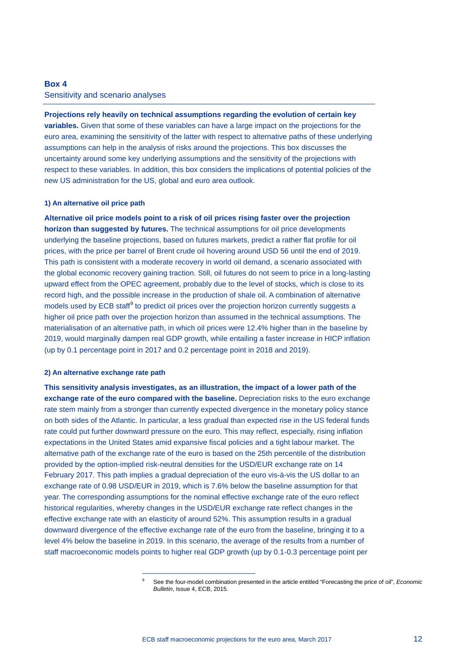# **Box 4** Sensitivity and scenario analyses

**Projections rely heavily on technical assumptions regarding the evolution of certain key variables.** Given that some of these variables can have a large impact on the projections for the euro area, examining the sensitivity of the latter with respect to alternative paths of these underlying assumptions can help in the analysis of risks around the projections. This box discusses the uncertainty around some key underlying assumptions and the sensitivity of the projections with respect to these variables. In addition, this box considers the implications of potential policies of the new US administration for the US, global and euro area outlook.

### **1) An alternative oil price path**

**Alternative oil price models point to a risk of oil prices rising faster over the projection horizon than suggested by futures.** The technical assumptions for oil price developments underlying the baseline projections, based on futures markets, predict a rather flat profile for oil prices, with the price per barrel of Brent crude oil hovering around USD 56 until the end of 2019. This path is consistent with a moderate recovery in world oil demand, a scenario associated with the global economic recovery gaining traction. Still, oil futures do not seem to price in a long-lasting upward effect from the OPEC agreement, probably due to the level of stocks, which is close to its record high, and the possible increase in the production of shale oil. A combination of alternative models used by ECB staff<sup>[9](#page-11-0)</sup> to predict oil prices over the projection horizon currently suggests a higher oil price path over the projection horizon than assumed in the technical assumptions. The materialisation of an alternative path, in which oil prices were 12.4% higher than in the baseline by 2019, would marginally dampen real GDP growth, while entailing a faster increase in HICP inflation (up by 0.1 percentage point in 2017 and 0.2 percentage point in 2018 and 2019).

### **2) An alternative exchange rate path**

<span id="page-11-0"></span>-

**This sensitivity analysis investigates, as an illustration, the impact of a lower path of the exchange rate of the euro compared with the baseline.** Depreciation risks to the euro exchange rate stem mainly from a stronger than currently expected divergence in the monetary policy stance on both sides of the Atlantic. In particular, a less gradual than expected rise in the US federal funds rate could put further downward pressure on the euro. This may reflect, especially, rising inflation expectations in the United States amid expansive fiscal policies and a tight labour market. The alternative path of the exchange rate of the euro is based on the 25th percentile of the distribution provided by the option-implied risk-neutral densities for the USD/EUR exchange rate on 14 February 2017. This path implies a gradual depreciation of the euro vis-à-vis the US dollar to an exchange rate of 0.98 USD/EUR in 2019, which is 7.6% below the baseline assumption for that year. The corresponding assumptions for the nominal effective exchange rate of the euro reflect historical regularities, whereby changes in the USD/EUR exchange rate reflect changes in the effective exchange rate with an elasticity of around 52%. This assumption results in a gradual downward divergence of the effective exchange rate of the euro from the baseline, bringing it to a level 4% below the baseline in 2019. In this scenario, the average of the results from a number of staff macroeconomic models points to higher real GDP growth (up by 0.1-0.3 percentage point per

<sup>9</sup> See the four-model combination presented in the article entitled "Forecasting the price of oil", *Economic Bulletin*, Issue 4, ECB, 2015.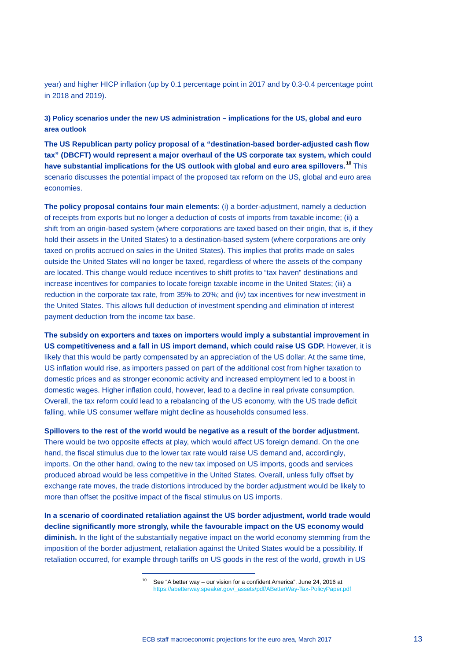year) and higher HICP inflation (up by 0.1 percentage point in 2017 and by 0.3-0.4 percentage point in 2018 and 2019).

# **3) Policy scenarios under the new US administration – implications for the US, global and euro area outlook**

**The US Republican party policy proposal of a "destination-based border-adjusted cash flow tax" (DBCFT) would represent a major overhaul of the US corporate tax system, which could have substantial implications for the US outlook with global and euro area spillovers.[10](#page-12-0)** This scenario discusses the potential impact of the proposed tax reform on the US, global and euro area economies.

**The policy proposal contains four main elements**: (i) a border-adjustment, namely a deduction of receipts from exports but no longer a deduction of costs of imports from taxable income; (ii) a shift from an origin-based system (where corporations are taxed based on their origin, that is, if they hold their assets in the United States) to a destination-based system (where corporations are only taxed on profits accrued on sales in the United States). This implies that profits made on sales outside the United States will no longer be taxed, regardless of where the assets of the company are located. This change would reduce incentives to shift profits to "tax haven" destinations and increase incentives for companies to locate foreign taxable income in the United States; (iii) a reduction in the corporate tax rate, from 35% to 20%; and (iv) tax incentives for new investment in the United States. This allows full deduction of investment spending and elimination of interest payment deduction from the income tax base.

**The subsidy on exporters and taxes on importers would imply a substantial improvement in US competitiveness and a fall in US import demand, which could raise US GDP.** However, it is likely that this would be partly compensated by an appreciation of the US dollar. At the same time, US inflation would rise, as importers passed on part of the additional cost from higher taxation to domestic prices and as stronger economic activity and increased employment led to a boost in domestic wages. Higher inflation could, however, lead to a decline in real private consumption. Overall, the tax reform could lead to a rebalancing of the US economy, with the US trade deficit falling, while US consumer welfare might decline as households consumed less.

**Spillovers to the rest of the world would be negative as a result of the border adjustment.** There would be two opposite effects at play, which would affect US foreign demand. On the one hand, the fiscal stimulus due to the lower tax rate would raise US demand and, accordingly, imports. On the other hand, owing to the new tax imposed on US imports, goods and services produced abroad would be less competitive in the United States. Overall, unless fully offset by exchange rate moves, the trade distortions introduced by the border adjustment would be likely to more than offset the positive impact of the fiscal stimulus on US imports.

<span id="page-12-0"></span>**In a scenario of coordinated retaliation against the US border adjustment, world trade would decline significantly more strongly, while the favourable impact on the US economy would diminish.** In the light of the substantially negative impact on the world economy stemming from the imposition of the border adjustment, retaliation against the United States would be a possibility. If retaliation occurred, for example through tariffs on US goods in the rest of the world, growth in US

<sup>&</sup>lt;sup>10</sup> See "A better way – our vision for a confident America", June 24, 2016 at [https://abetterway.speaker.gov/\\_assets/pdf/ABetterWay-Tax-PolicyPaper.pdf](https://abetterway.speaker.gov/_assets/pdf/ABetterWay-Tax-PolicyPaper.pdf)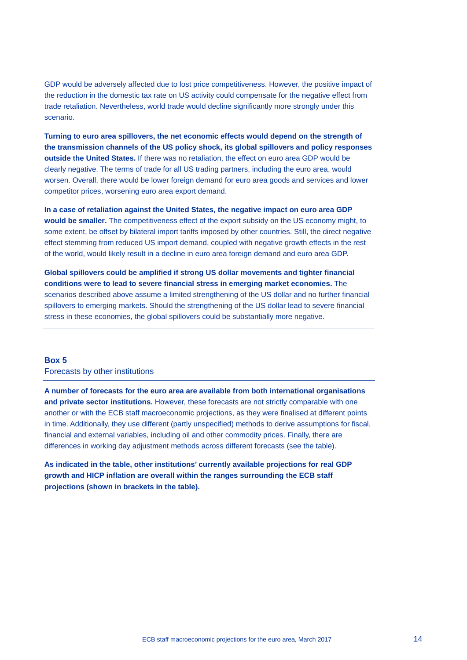GDP would be adversely affected due to lost price competitiveness. However, the positive impact of the reduction in the domestic tax rate on US activity could compensate for the negative effect from trade retaliation. Nevertheless, world trade would decline significantly more strongly under this scenario.

**Turning to euro area spillovers, the net economic effects would depend on the strength of the transmission channels of the US policy shock, its global spillovers and policy responses outside the United States.** If there was no retaliation, the effect on euro area GDP would be clearly negative. The terms of trade for all US trading partners, including the euro area, would worsen. Overall, there would be lower foreign demand for euro area goods and services and lower competitor prices, worsening euro area export demand.

**In a case of retaliation against the United States, the negative impact on euro area GDP would be smaller.** The competitiveness effect of the export subsidy on the US economy might, to some extent, be offset by bilateral import tariffs imposed by other countries. Still, the direct negative effect stemming from reduced US import demand, coupled with negative growth effects in the rest of the world, would likely result in a decline in euro area foreign demand and euro area GDP.

**Global spillovers could be amplified if strong US dollar movements and tighter financial conditions were to lead to severe financial stress in emerging market economies.** The scenarios described above assume a limited strengthening of the US dollar and no further financial spillovers to emerging markets. Should the strengthening of the US dollar lead to severe financial stress in these economies, the global spillovers could be substantially more negative.

## **Box 5**

### Forecasts by other institutions

**A number of forecasts for the euro area are available from both international organisations and private sector institutions.** However, these forecasts are not strictly comparable with one another or with the ECB staff macroeconomic projections, as they were finalised at different points in time. Additionally, they use different (partly unspecified) methods to derive assumptions for fiscal, financial and external variables, including oil and other commodity prices. Finally, there are differences in working day adjustment methods across different forecasts (see the table).

**As indicated in the table, other institutions' currently available projections for real GDP growth and HICP inflation are overall within the ranges surrounding the ECB staff projections (shown in brackets in the table).**